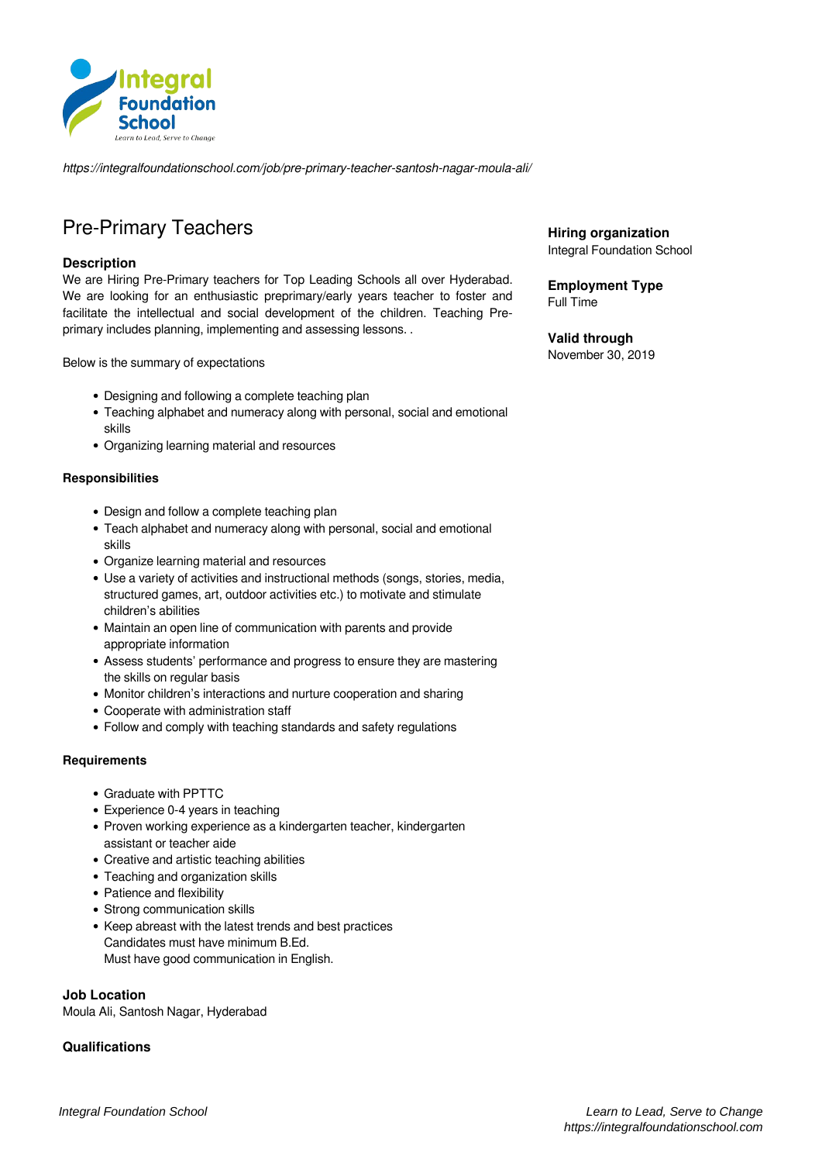

*https://integralfoundationschool.com/job/pre-primary-teacher-santosh-nagar-moula-ali/*

# Pre-Primary Teachers

## **Description**

We are Hiring Pre-Primary teachers for Top Leading Schools all over Hyderabad. We are looking for an enthusiastic preprimary/early years teacher to foster and facilitate the intellectual and social development of the children. Teaching Preprimary includes planning, implementing and assessing lessons. .

Below is the summary of expectations

- Designing and following a complete teaching plan
- Teaching alphabet and numeracy along with personal, social and emotional skills
- Organizing learning material and resources

#### **Responsibilities**

- Design and follow a complete teaching plan
- Teach alphabet and numeracy along with personal, social and emotional skills
- Organize learning material and resources
- Use a variety of activities and instructional methods (songs, stories, media, structured games, art, outdoor activities etc.) to motivate and stimulate children's abilities
- Maintain an open line of communication with parents and provide appropriate information
- Assess students' performance and progress to ensure they are mastering the skills on regular basis
- Monitor children's interactions and nurture cooperation and sharing
- Cooperate with administration staff
- Follow and comply with teaching standards and safety regulations

#### **Requirements**

- Graduate with PPTTC
- Experience 0-4 years in teaching
- Proven working experience as a kindergarten teacher, kindergarten assistant or teacher aide
- Creative and artistic teaching abilities
- Teaching and organization skills
- Patience and flexibility
- Strong communication skills
- Keep abreast with the latest trends and best practices Candidates must have minimum B.Ed. Must have good communication in English.

#### **Job Location**

Moula Ali, Santosh Nagar, Hyderabad

## **Qualifications**

**Hiring organization** Integral Foundation School

**Employment Type** Full Time

**Valid through** November 30, 2019